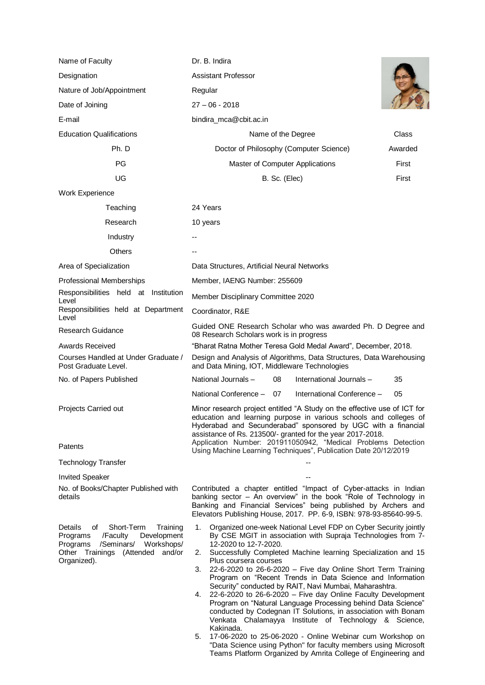| Name of Faculty                                                                                                                                                        | Dr. B. Indira                                                                                                                                                                                                                                                                                                                                                                                                                                                                                                                                                                                                                                                                                                                                                                                                                                                                                                                                   |         |
|------------------------------------------------------------------------------------------------------------------------------------------------------------------------|-------------------------------------------------------------------------------------------------------------------------------------------------------------------------------------------------------------------------------------------------------------------------------------------------------------------------------------------------------------------------------------------------------------------------------------------------------------------------------------------------------------------------------------------------------------------------------------------------------------------------------------------------------------------------------------------------------------------------------------------------------------------------------------------------------------------------------------------------------------------------------------------------------------------------------------------------|---------|
| Designation                                                                                                                                                            | <b>Assistant Professor</b>                                                                                                                                                                                                                                                                                                                                                                                                                                                                                                                                                                                                                                                                                                                                                                                                                                                                                                                      |         |
| Nature of Job/Appointment                                                                                                                                              | Regular                                                                                                                                                                                                                                                                                                                                                                                                                                                                                                                                                                                                                                                                                                                                                                                                                                                                                                                                         |         |
| Date of Joining                                                                                                                                                        | $27 - 06 - 2018$                                                                                                                                                                                                                                                                                                                                                                                                                                                                                                                                                                                                                                                                                                                                                                                                                                                                                                                                |         |
| E-mail                                                                                                                                                                 | bindira_mca@cbit.ac.in                                                                                                                                                                                                                                                                                                                                                                                                                                                                                                                                                                                                                                                                                                                                                                                                                                                                                                                          |         |
| <b>Education Qualifications</b>                                                                                                                                        | Name of the Degree                                                                                                                                                                                                                                                                                                                                                                                                                                                                                                                                                                                                                                                                                                                                                                                                                                                                                                                              | Class   |
| Ph. D                                                                                                                                                                  | Doctor of Philosophy (Computer Science)                                                                                                                                                                                                                                                                                                                                                                                                                                                                                                                                                                                                                                                                                                                                                                                                                                                                                                         | Awarded |
| PG                                                                                                                                                                     | Master of Computer Applications                                                                                                                                                                                                                                                                                                                                                                                                                                                                                                                                                                                                                                                                                                                                                                                                                                                                                                                 | First   |
| UG                                                                                                                                                                     | B. Sc. (Elec)                                                                                                                                                                                                                                                                                                                                                                                                                                                                                                                                                                                                                                                                                                                                                                                                                                                                                                                                   | First   |
| Work Experience                                                                                                                                                        |                                                                                                                                                                                                                                                                                                                                                                                                                                                                                                                                                                                                                                                                                                                                                                                                                                                                                                                                                 |         |
| Teaching                                                                                                                                                               | 24 Years                                                                                                                                                                                                                                                                                                                                                                                                                                                                                                                                                                                                                                                                                                                                                                                                                                                                                                                                        |         |
| Research                                                                                                                                                               | 10 years                                                                                                                                                                                                                                                                                                                                                                                                                                                                                                                                                                                                                                                                                                                                                                                                                                                                                                                                        |         |
| Industry                                                                                                                                                               |                                                                                                                                                                                                                                                                                                                                                                                                                                                                                                                                                                                                                                                                                                                                                                                                                                                                                                                                                 |         |
| Others                                                                                                                                                                 |                                                                                                                                                                                                                                                                                                                                                                                                                                                                                                                                                                                                                                                                                                                                                                                                                                                                                                                                                 |         |
| Area of Specialization                                                                                                                                                 | Data Structures, Artificial Neural Networks                                                                                                                                                                                                                                                                                                                                                                                                                                                                                                                                                                                                                                                                                                                                                                                                                                                                                                     |         |
| <b>Professional Memberships</b>                                                                                                                                        | Member, IAENG Number: 255609                                                                                                                                                                                                                                                                                                                                                                                                                                                                                                                                                                                                                                                                                                                                                                                                                                                                                                                    |         |
| Responsibilities held at Institution<br>Level                                                                                                                          | Member Disciplinary Committee 2020                                                                                                                                                                                                                                                                                                                                                                                                                                                                                                                                                                                                                                                                                                                                                                                                                                                                                                              |         |
| Responsibilities held at Department<br>Level                                                                                                                           | Coordinator, R&E                                                                                                                                                                                                                                                                                                                                                                                                                                                                                                                                                                                                                                                                                                                                                                                                                                                                                                                                |         |
| Research Guidance                                                                                                                                                      | Guided ONE Research Scholar who was awarded Ph. D Degree and<br>08 Research Scholars work is in progress                                                                                                                                                                                                                                                                                                                                                                                                                                                                                                                                                                                                                                                                                                                                                                                                                                        |         |
| Awards Received                                                                                                                                                        | "Bharat Ratna Mother Teresa Gold Medal Award", December, 2018.                                                                                                                                                                                                                                                                                                                                                                                                                                                                                                                                                                                                                                                                                                                                                                                                                                                                                  |         |
| Courses Handled at Under Graduate /<br>Post Graduate Level.                                                                                                            | Design and Analysis of Algorithms, Data Structures, Data Warehousing<br>and Data Mining, IOT, Middleware Technologies                                                                                                                                                                                                                                                                                                                                                                                                                                                                                                                                                                                                                                                                                                                                                                                                                           |         |
| No. of Papers Published                                                                                                                                                | National Journals -<br>International Journals -<br>08                                                                                                                                                                                                                                                                                                                                                                                                                                                                                                                                                                                                                                                                                                                                                                                                                                                                                           | 35      |
|                                                                                                                                                                        | National Conference -<br>07<br>International Conference -                                                                                                                                                                                                                                                                                                                                                                                                                                                                                                                                                                                                                                                                                                                                                                                                                                                                                       | 05      |
| Projects Carried out<br>Patents                                                                                                                                        | Minor research project entitled "A Study on the effective use of ICT for<br>education and learning purpose in various schools and colleges of<br>Hyderabad and Secunderabad" sponsored by UGC with a financial<br>assistance of Rs. 213500/- granted for the year 2017-2018.<br>Application Number: 201911050942, "Medical Problems Detection<br>Using Machine Learning Techniques", Publication Date 20/12/2019                                                                                                                                                                                                                                                                                                                                                                                                                                                                                                                                |         |
| <b>Technology Transfer</b>                                                                                                                                             |                                                                                                                                                                                                                                                                                                                                                                                                                                                                                                                                                                                                                                                                                                                                                                                                                                                                                                                                                 |         |
| <b>Invited Speaker</b>                                                                                                                                                 |                                                                                                                                                                                                                                                                                                                                                                                                                                                                                                                                                                                                                                                                                                                                                                                                                                                                                                                                                 |         |
| No. of Books/Chapter Published with<br>details                                                                                                                         | Contributed a chapter entitled "Impact of Cyber-attacks in Indian<br>banking sector - An overview" in the book "Role of Technology in<br>Banking and Financial Services" being published by Archers and<br>Elevators Publishing House, 2017. PP. 6-9, ISBN: 978-93-85640-99-5.                                                                                                                                                                                                                                                                                                                                                                                                                                                                                                                                                                                                                                                                  |         |
| Details<br>Short-Term<br>οf<br>Training<br>/Faculty<br>Programs<br>Development<br>/Seminars/ Workshops/<br>Programs<br>Other Trainings (Attended and/or<br>Organized). | Organized one-week National Level FDP on Cyber Security jointly<br>1.<br>By CSE MGIT in association with Supraja Technologies from 7-<br>12-2020 to 12-7-2020.<br>Successfully Completed Machine learning Specialization and 15<br>2.<br>Plus coursera courses<br>22-6-2020 to 26-6-2020 - Five day Online Short Term Training<br>3.<br>Program on "Recent Trends in Data Science and Information<br>Security" conducted by RAIT, Navi Mumbai, Maharashtra.<br>22-6-2020 to 26-6-2020 - Five day Online Faculty Development<br>4.<br>Program on "Natural Language Processing behind Data Science"<br>conducted by Codegnan IT Solutions, in association with Bonam<br>Venkata Chalamayya Institute of Technology & Science,<br>Kakinada.<br>17-06-2020 to 25-06-2020 - Online Webinar cum Workshop on<br>5.<br>"Data Science using Python" for faculty members using Microsoft<br>Teams Platform Organized by Amrita College of Engineering and |         |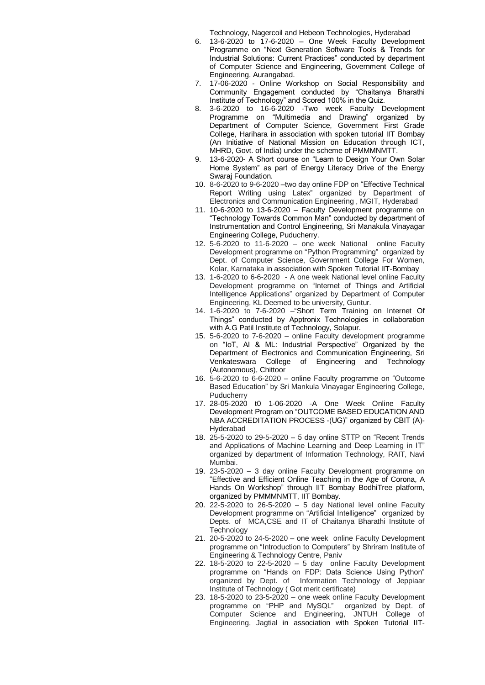Technology, Nagercoil and Hebeon Technologies, Hyderabad

- 6. 13-6-2020 to 17-6-2020 One Week Faculty Development Programme on "Next Generation Software Tools & Trends for Industrial Solutions: Current Practices" conducted by department of Computer Science and Engineering, Government College of Engineering, Aurangabad.
- 7. 17-06-2020 Online Workshop on Social Responsibility and Community Engagement conducted by "Chaitanya Bharathi Institute of Technology" and Scored 100% in the Quiz.
- 8. 3-6-2020 to 16-6-2020 -Two week Faculty Development Programme on "Multimedia and Drawing" organized by Department of Computer Science, Government First Grade College, Harihara in association with spoken tutorial IIT Bombay (An Initiative of National Mission on Education through ICT, MHRD, Govt. of India) under the scheme of PMMMNMTT.
- 9. 13-6-2020- A Short course on "Learn to Design Your Own Solar Home System" as part of Energy Literacy Drive of the Energy Swaraj Foundation.
- 10. 8-6-2020 to 9-6-2020 –two day online FDP on "Effective Technical Report Writing using Latex" organized by Department of Electronics and Communication Engineering , MGIT, Hyderabad
- 11. 10-6-2020 to 13-6-2020 Faculty Development programme on "Technology Towards Common Man" conducted by department of Instrumentation and Control Engineering, Sri Manakula Vinayagar Engineering College, Puducherry.
- 12. 5-6-2020 to 11-6-2020 one week National online Faculty Development programme on "Python Programming" organized by Dept. of Computer Science, Government College For Women, Kolar, Karnataka in association with Spoken Tutorial IIT-Bombay
- 13. 1-6-2020 to 6-6-2020 A one week National level online Faculty Development programme on "Internet of Things and Artificial Intelligence Applications" organized by Department of Computer Engineering, KL Deemed to be university, Guntur.
- 14. 1-6-2020 to 7-6-2020 –"Short Term Training on Internet Of Things" conducted by Apptronix Technologies in collaboration with A.G Patil Institute of Technology, Solapur.
- 15. 5-6-2020 to 7-6-2020 online Faculty development programme on "IoT, AI & ML: Industrial Perspective" Organized by the Department of Electronics and Communication Engineering, Sri Venkateswara College of Engineering and Technology (Autonomous), Chittoor
- 16. 5-6-2020 to 6-6-2020 online Faculty programme on "Outcome Based Education" by Sri Mankula Vinayagar Engineering College, Puducherry
- 17. 28-05-2020 t0 1-06-2020 -A One Week Online Faculty Development Program on "OUTCOME BASED EDUCATION AND NBA ACCREDITATION PROCESS -(UG)" organized by CBIT (A)- Hyderabad
- 18. 25-5-2020 to 29-5-2020 5 day online STTP on "Recent Trends and Applications of Machine Learning and Deep Learning in IT" organized by department of Information Technology, RAIT, Navi Mumbai.
- 19. 23-5-2020 3 day online Faculty Development programme on "Effective and Efficient Online Teaching in the Age of Corona, A Hands On Workshop" through IIT Bombay BodhiTree platform, organized by PMMMNMTT, IIT Bombay.
- 20. 22-5-2020 to 26-5-2020 5 day National level online Faculty Development programme on "Artificial Intelligence" organized by Depts. of MCA,CSE and IT of Chaitanya Bharathi Institute of **Technology**
- 21. 20-5-2020 to 24-5-2020 one week online Faculty Development programme on "Introduction to Computers" by Shriram Institute of Engineering & Technology Centre, Paniv
- 22. 18-5-2020 to 22-5-2020 5 day online Faculty Development programme on "Hands on FDP: Data Science Using Python" organized by Dept. of Information Technology of Jeppiaar Institute of Technology ( Got merit certificate)
- 23. 18-5-2020 to 23-5-2020 one week online Faculty Development programme on "PHP and MySQL" organized by Dept. of Computer Science and Engineering, JNTUH College of Engineering, Jagtial in association with Spoken Tutorial IIT-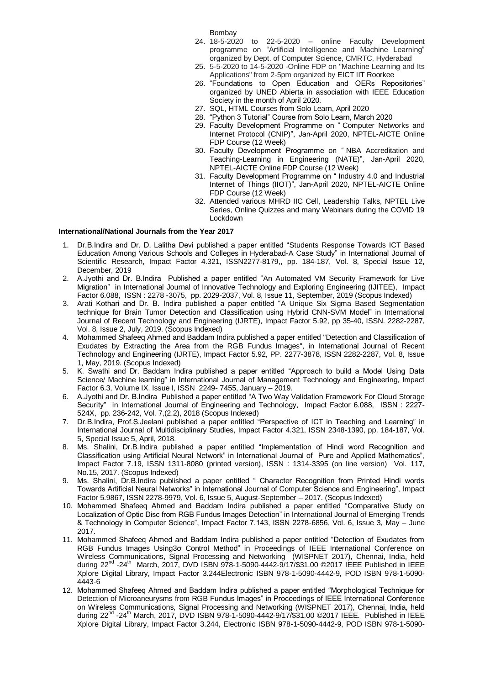Bombay

- 24. 18-5-2020 to 22-5-2020 online Faculty Development programme on "Artificial Intelligence and Machine Learning" organized by Dept. of Computer Science, CMRTC, Hyderabad
- 25. 5-5-2020 to 14-5-2020 -Online FDP on "Machine Learning and Its Applications" from 2-5pm organized by EICT IIT Roorkee
- 26. "Foundations to Open Education and OERs Repositories" organized by UNED Abierta in association with IEEE Education Society in the month of April 2020.
- 27. SQL, HTML Courses from Solo Learn, April 2020
- 28. "Python 3 Tutorial" Course from Solo Learn, March 2020
- 29. Faculty Development Programme on " [Computer Networks and](https://onlinecourses.nptel.ac.in/noc20_ge11/course)  [Internet Protocol \(CNIP\)"](https://onlinecourses.nptel.ac.in/noc20_ge11/course), Jan-April 2020, NPTEL-AICTE Online FDP Course (12 Week)
- 30. Faculty Development Programme on " [NBA Accreditation and](https://onlinecourses.nptel.ac.in/noc20_ge11/course)  [Teaching-Learning in Engineering \(NATE\)"](https://onlinecourses.nptel.ac.in/noc20_ge11/course), Jan-April 2020, NPTEL-AICTE Online FDP Course (12 Week)
- 31. Faculty Development Programme on " [Industry 4.0 and Industrial](https://onlinecourses.nptel.ac.in/noc20_ge11/course)  [Internet of Things \(IIOT\)"](https://onlinecourses.nptel.ac.in/noc20_ge11/course), Jan-April 2020, NPTEL-AICTE Online FDP Course (12 Week)
- 32. Attended various MHRD IIC Cell, Leadership Talks, NPTEL Live Series, Online Quizzes and many Webinars during the COVID 19 Lockdown

## **International/National Journals from the Year 2017**

- 1. Dr.B.Indira and Dr. D. Lalitha Devi published a paper entitled "Students Response Towards ICT Based Education Among Various Schools and Colleges in Hyderabad-A Case Study" in International Journal of Scientific Research, Impact Factor 4.321, ISSN2277-8179,, pp. 184-187, Vol. 8, Special Issue 12, December, 2019
- 2. A.Jyothi and Dr. B.Indira Published a paper entitled "An Automated VM Security Framework for Live Migration" in International Journal of Innovative Technology and Exploring Engineering (IJITEE), Impact Factor 6.088, ISSN : 2278 -3075, pp. 2029-2037, Vol. 8, Issue 11, September, 2019 (Scopus Indexed)
- 3. Arati Kothari and Dr. B. Indira published a paper entitled "A Unique Six Sigma Based Segmentation technique for Brain Tumor Detection and Classification using Hybrid CNN-SVM Model" in International Journal of Recent Technology and Engineering (IJRTE), Impact Factor 5.92, pp 35-40, ISSN. 2282-2287, Vol. 8, Issue 2, July, 2019. (Scopus Indexed)
- 4. Mohammed Shafeeq Ahmed and Baddam Indira published a paper entitled "Detection and Classification of Exudates by Extracting the Area from the RGB Fundus Images", in International Journal of Recent Technology and Engineering (IJRTE), Impact Factor 5.92, PP. 2277-3878, ISSN 2282-2287, Vol. 8, Issue 1, May, 2019. (Scopus Indexed)
- 5. K. Swathi and Dr. Baddam Indira published a paper entitled "Approach to build a Model Using Data Science/ Machine learning" in International Journal of Management Technology and Engineering, Impact Factor 6.3, Volume IX, Issue I, ISSN 2249- 7455, January – 2019.
- 6. A.Jyothi and Dr. B.Indira Published a paper entitled "A Two Way Validation Framework For Cloud Storage Security" in International Journal of Engineering and Technology, Impact Factor 6.088, ISSN : 2227-524X, pp. 236-242, Vol. 7,(2.2), 2018 (Scopus Indexed)
- 7. Dr.B.Indira, Prof.S.Jeelani published a paper entitled "Perspective of ICT in Teaching and Learning" in International Journal of Multidisciplinary Studies, Impact Factor 4.321, ISSN 2348-1390, pp. 184-187, Vol. 5, Special Issue 5, April, 2018.
- 8. Ms. Shalini, Dr.B.Indira published a paper entitled "Implementation of Hindi word Recognition and Classification using Artificial Neural Network" in International Journal of Pure and Applied Mathematics", Impact Factor 7.19, ISSN 1311-8080 (printed version), ISSN : 1314-3395 (on line version) Vol. 117, No.15, 2017. (Scopus Indexed)
- 9. Ms. Shalini, Dr.B.Indira published a paper entitled " Character Recognition from Printed Hindi words Towards Artificial Neural Networks" in International Journal of Computer Science and Engineering", Impact Factor 5.9867, ISSN 2278-9979, Vol. 6, Issue 5, August-September – 2017. (Scopus Indexed)
- 10. Mohammed Shafeeq Ahmed and Baddam Indira published a paper entitled "Comparative Study on Localization of Optic Disc from RGB Fundus Images Detection" in International Journal of Emerging Trends & Technology in Computer Science", Impact Factor 7.143, ISSN 2278-6856, Vol. 6, Issue 3, May – June 2017.
- 11. Mohammed Shafeeq Ahmed and Baddam Indira published a paper entitled "Detection of Exudates from RGB Fundus Images Using3σ Control Method" in Proceedings of IEEE International Conference on Wireless Communications, Signal Processing and Networking (WISPNET 2017), Chennai, India, held during 22<sup>nd</sup> -24<sup>th</sup> March, 2017, DVD ISBN 978-1-5090-4442-9/17/\$31.00 ©2017 IEEE Published in IEEE Xplore Digital Library, Impact Factor 3.244Electronic ISBN 978-1-5090-4442-9, POD ISBN 978-1-5090- 4443-6
- 12. Mohammed Shafeeq Ahmed and Baddam Indira published a paper entitled "Morphological Technique for Detection of Microaneurysms from RGB Fundus Images" in Proceedings of IEEE International Conference on Wireless Communications, Signal Processing and Networking (WISPNET 2017), Chennai, India, held during 22<sup>nd</sup> -24<sup>th</sup> March, 2017, DVD ISBN 978-1-5090-4442-9/17/\$31.00 ©2017 IEEE. Published in IEEE Xplore Digital Library, Impact Factor 3.244, Electronic ISBN 978-1-5090-4442-9, POD ISBN 978-1-5090-